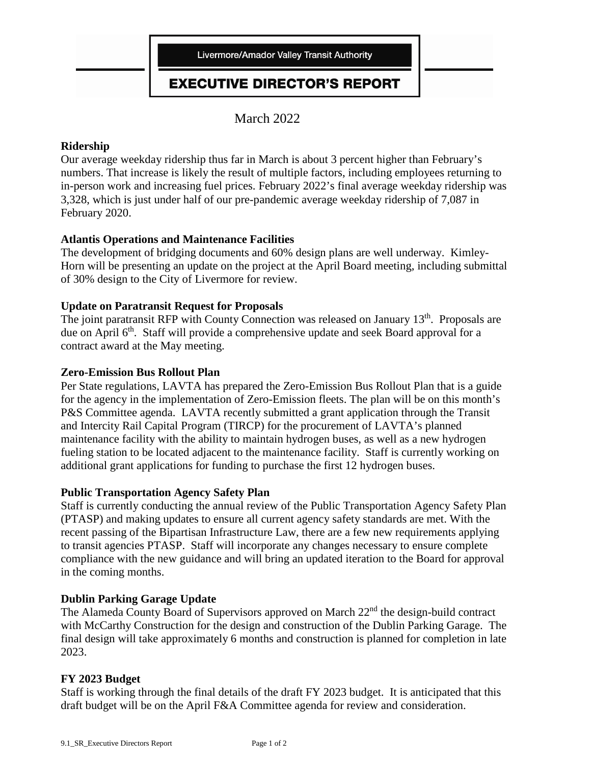

# **EXECUTIVE DIRECTOR'S REPORT**

March 2022

## **Ridership**

Our average weekday ridership thus far in March is about 3 percent higher than February's numbers. That increase is likely the result of multiple factors, including employees returning to in-person work and increasing fuel prices. February 2022's final average weekday ridership was 3,328, which is just under half of our pre-pandemic average weekday ridership of 7,087 in February 2020.

## **Atlantis Operations and Maintenance Facilities**

The development of bridging documents and 60% design plans are well underway. Kimley-Horn will be presenting an update on the project at the April Board meeting, including submittal of 30% design to the City of Livermore for review.

## **Update on Paratransit Request for Proposals**

The joint paratransit RFP with County Connection was released on January 13<sup>th</sup>. Proposals are due on April 6<sup>th</sup>. Staff will provide a comprehensive update and seek Board approval for a contract award at the May meeting.

#### **Zero-Emission Bus Rollout Plan**

Per State regulations, LAVTA has prepared the Zero-Emission Bus Rollout Plan that is a guide for the agency in the implementation of Zero-Emission fleets. The plan will be on this month's P&S Committee agenda. LAVTA recently submitted a grant application through the Transit and Intercity Rail Capital Program (TIRCP) for the procurement of LAVTA's planned maintenance facility with the ability to maintain hydrogen buses, as well as a new hydrogen fueling station to be located adjacent to the maintenance facility. Staff is currently working on additional grant applications for funding to purchase the first 12 hydrogen buses.

#### **Public Transportation Agency Safety Plan**

Staff is currently conducting the annual review of the Public Transportation Agency Safety Plan (PTASP) and making updates to ensure all current agency safety standards are met. With the recent passing of the Bipartisan Infrastructure Law, there are a few new requirements applying to transit agencies PTASP. Staff will incorporate any changes necessary to ensure complete compliance with the new guidance and will bring an updated iteration to the Board for approval in the coming months.

# **Dublin Parking Garage Update**

The Alameda County Board of Supervisors approved on March 22<sup>nd</sup> the design-build contract with McCarthy Construction for the design and construction of the Dublin Parking Garage. The final design will take approximately 6 months and construction is planned for completion in late 2023.

#### **FY 2023 Budget**

Staff is working through the final details of the draft FY 2023 budget. It is anticipated that this draft budget will be on the April F&A Committee agenda for review and consideration.